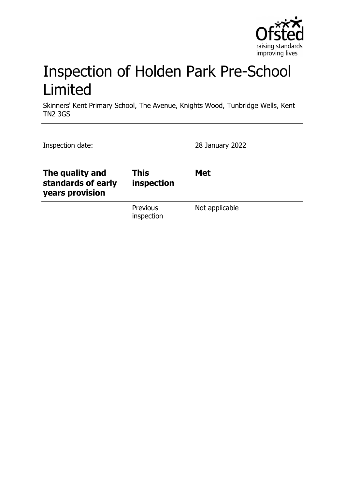

# Inspection of Holden Park Pre-School Limited

Skinners' Kent Primary School, The Avenue, Knights Wood, Tunbridge Wells, Kent TN2 3GS

| Inspection date:                                         |                           | 28 January 2022 |
|----------------------------------------------------------|---------------------------|-----------------|
| The quality and<br>standards of early<br>years provision | <b>This</b><br>inspection | <b>Met</b>      |
|                                                          | Previous<br>inspection    | Not applicable  |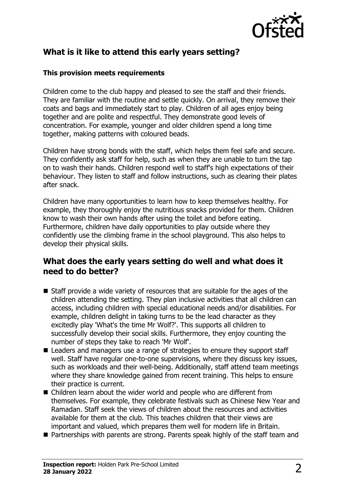

# **What is it like to attend this early years setting?**

#### **This provision meets requirements**

Children come to the club happy and pleased to see the staff and their friends. They are familiar with the routine and settle quickly. On arrival, they remove their coats and bags and immediately start to play. Children of all ages enjoy being together and are polite and respectful. They demonstrate good levels of concentration. For example, younger and older children spend a long time together, making patterns with coloured beads.

Children have strong bonds with the staff, which helps them feel safe and secure. They confidently ask staff for help, such as when they are unable to turn the tap on to wash their hands. Children respond well to staff's high expectations of their behaviour. They listen to staff and follow instructions, such as clearing their plates after snack.

Children have many opportunities to learn how to keep themselves healthy. For example, they thoroughly enjoy the nutritious snacks provided for them. Children know to wash their own hands after using the toilet and before eating. Furthermore, children have daily opportunities to play outside where they confidently use the climbing frame in the school playground. This also helps to develop their physical skills.

#### **What does the early years setting do well and what does it need to do better?**

- $\blacksquare$  Staff provide a wide variety of resources that are suitable for the ages of the children attending the setting. They plan inclusive activities that all children can access, including children with special educational needs and/or disabilities. For example, children delight in taking turns to be the lead character as they excitedly play 'What's the time Mr Wolf?'. This supports all children to successfully develop their social skills. Furthermore, they enjoy counting the number of steps they take to reach 'Mr Wolf'.
- Leaders and managers use a range of strategies to ensure they support staff well. Staff have regular one-to-one supervisions, where they discuss key issues, such as workloads and their well-being. Additionally, staff attend team meetings where they share knowledge gained from recent training. This helps to ensure their practice is current.
- $\blacksquare$  Children learn about the wider world and people who are different from themselves. For example, they celebrate festivals such as Chinese New Year and Ramadan. Staff seek the views of children about the resources and activities available for them at the club. This teaches children that their views are important and valued, which prepares them well for modern life in Britain.
- $\blacksquare$  Partnerships with parents are strong. Parents speak highly of the staff team and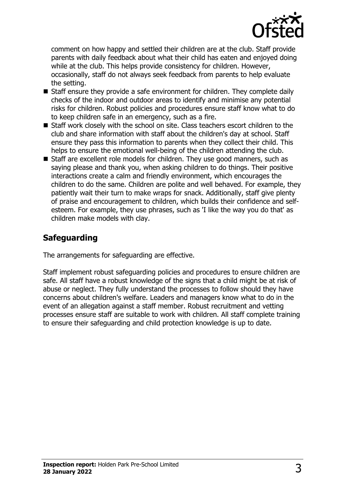

comment on how happy and settled their children are at the club. Staff provide parents with daily feedback about what their child has eaten and enjoyed doing while at the club. This helps provide consistency for children. However, occasionally, staff do not always seek feedback from parents to help evaluate the setting.

- $\blacksquare$  Staff ensure they provide a safe environment for children. They complete daily checks of the indoor and outdoor areas to identify and minimise any potential risks for children. Robust policies and procedures ensure staff know what to do to keep children safe in an emergency, such as a fire.
- $\blacksquare$  Staff work closely with the school on site. Class teachers escort children to the club and share information with staff about the children's day at school. Staff ensure they pass this information to parents when they collect their child. This helps to ensure the emotional well-being of the children attending the club.
- $\blacksquare$  Staff are excellent role models for children. They use good manners, such as saying please and thank you, when asking children to do things. Their positive interactions create a calm and friendly environment, which encourages the children to do the same. Children are polite and well behaved. For example, they patiently wait their turn to make wraps for snack. Additionally, staff give plenty of praise and encouragement to children, which builds their confidence and selfesteem. For example, they use phrases, such as 'I like the way you do that' as children make models with clay.

# **Safeguarding**

The arrangements for safeguarding are effective.

Staff implement robust safeguarding policies and procedures to ensure children are safe. All staff have a robust knowledge of the signs that a child might be at risk of abuse or neglect. They fully understand the processes to follow should they have concerns about children's welfare. Leaders and managers know what to do in the event of an allegation against a staff member. Robust recruitment and vetting processes ensure staff are suitable to work with children. All staff complete training to ensure their safeguarding and child protection knowledge is up to date.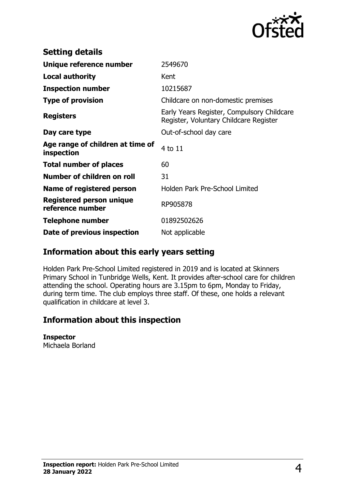

| <b>Setting details</b>                         |                                                                                      |
|------------------------------------------------|--------------------------------------------------------------------------------------|
| Unique reference number                        | 2549670                                                                              |
| <b>Local authority</b>                         | Kent                                                                                 |
| <b>Inspection number</b>                       | 10215687                                                                             |
| <b>Type of provision</b>                       | Childcare on non-domestic premises                                                   |
| <b>Registers</b>                               | Early Years Register, Compulsory Childcare<br>Register, Voluntary Childcare Register |
| Day care type                                  | Out-of-school day care                                                               |
| Age range of children at time of<br>inspection | 4 to 11                                                                              |
| <b>Total number of places</b>                  | 60                                                                                   |
| Number of children on roll                     | 31                                                                                   |
| Name of registered person                      | Holden Park Pre-School Limited                                                       |
| Registered person unique<br>reference number   | RP905878                                                                             |
| <b>Telephone number</b>                        | 01892502626                                                                          |
| Date of previous inspection                    | Not applicable                                                                       |

## **Information about this early years setting**

Holden Park Pre-School Limited registered in 2019 and is located at Skinners Primary School in Tunbridge Wells, Kent. It provides after-school care for children attending the school. Operating hours are 3.15pm to 6pm, Monday to Friday, during term time. The club employs three staff. Of these, one holds a relevant qualification in childcare at level 3.

## **Information about this inspection**

#### **Inspector**

Michaela Borland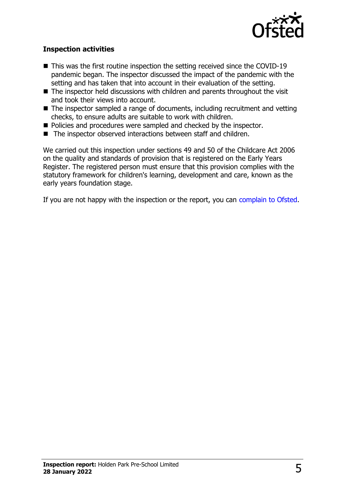

#### **Inspection activities**

- $\blacksquare$  This was the first routine inspection the setting received since the COVID-19 pandemic began. The inspector discussed the impact of the pandemic with the setting and has taken that into account in their evaluation of the setting.
- $\blacksquare$  The inspector held discussions with children and parents throughout the visit and took their views into account.
- $\blacksquare$  The inspector sampled a range of documents, including recruitment and vetting checks, to ensure adults are suitable to work with children.
- Policies and procedures were sampled and checked by the inspector.
- The inspector observed interactions between staff and children.

We carried out this inspection under sections 49 and 50 of the Childcare Act 2006 on the quality and standards of provision that is registered on the Early Years Register. The registered person must ensure that this provision complies with the statutory framework for children's learning, development and care, known as the early years foundation stage.

If you are not happy with the inspection or the report, you can [complain to Ofsted](http://www.gov.uk/complain-ofsted-report).